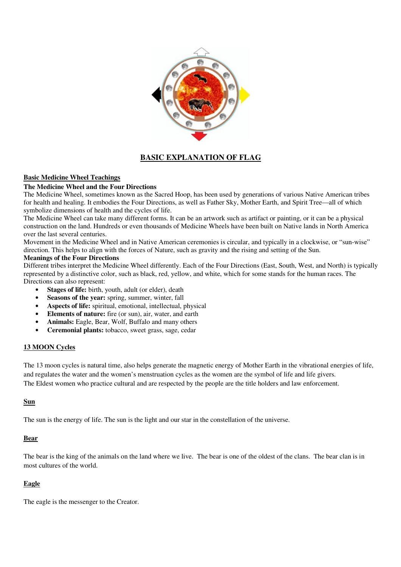

# **BASIC EXPLANATION OF FLAG**

## **Basic Medicine Wheel Teachings**

## **The Medicine Wheel and the Four Directions**

The Medicine Wheel, sometimes known as the Sacred Hoop, has been used by generations of various Native American tribes for health and healing. It embodies the Four Directions, as well as Father Sky, Mother Earth, and Spirit Tree—all of which symbolize dimensions of health and the cycles of life.

The Medicine Wheel can take many different forms. It can be an artwork such as artifact or painting, or it can be a physical construction on the land. Hundreds or even thousands of Medicine Wheels have been built on Native lands in North America over the last several centuries.

Movement in the Medicine Wheel and in Native American ceremonies is circular, and typically in a clockwise, or "sun-wise" direction. This helps to align with the forces of Nature, such as gravity and the rising and setting of the Sun.

#### **Meanings of the Four Directions**

Different tribes interpret the Medicine Wheel differently. Each of the Four Directions (East, South, West, and North) is typically represented by a distinctive color, such as black, red, yellow, and white, which for some stands for the human races. The Directions can also represent:

- **Stages of life:** birth, youth, adult (or elder), death
- **Seasons of the year:** spring, summer, winter, fall
- **Aspects of life:** spiritual, emotional, intellectual, physical
- **Elements of nature:** fire (or sun), air, water, and earth
- **Animals:** Eagle, Bear, Wolf, Buffalo and many others
- **Ceremonial plants:** tobacco, sweet grass, sage, cedar

#### **13 MOON Cycles**

The 13 moon cycles is natural time, also helps generate the magnetic energy of Mother Earth in the vibrational energies of life, and regulates the water and the women's menstruation cycles as the women are the symbol of life and life givers. The Eldest women who practice cultural and are respected by the people are the title holders and law enforcement.

#### **Sun**

The sun is the energy of life. The sun is the light and our star in the constellation of the universe.

#### **Bear**

The bear is the king of the animals on the land where we live. The bear is one of the oldest of the clans. The bear clan is in most cultures of the world.

## **Eagle**

The eagle is the messenger to the Creator.